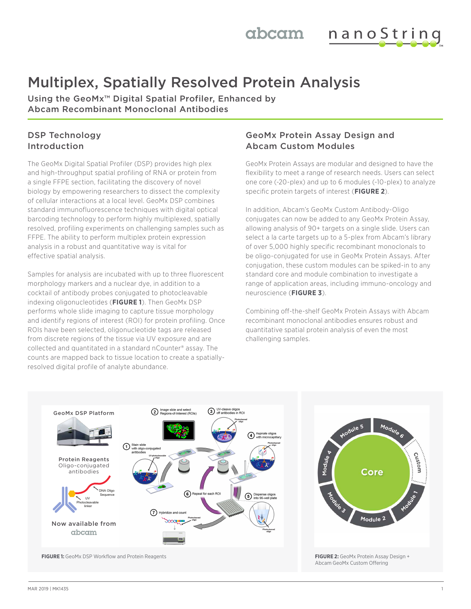nanoString abcam

# Multiplex, Spatially Resolved Protein Analysis

Using the GeoMx™ Digital Spatial Profiler, Enhanced by Abcam Recombinant Monoclonal Antibodies

# DSP Technology Introduction

The GeoMx Digital Spatial Profiler (DSP) provides high plex and high-throughput spatial profiling of RNA or protein from a single FFPE section, facilitating the discovery of novel biology by empowering researchers to dissect the complexity of cellular interactions at a local level. GeoMx DSP combines standard immunofluorescence techniques with digital optical barcoding technology to perform highly multiplexed, spatially resolved, profiling experiments on challenging samples such as FFPE. The ability to perform multiplex protein expression analysis in a robust and quantitative way is vital for effective spatial analysis.

Samples for analysis are incubated with up to three fluorescent morphology markers and a nuclear dye, in addition to a cocktail of antibody probes conjugated to photocleavable indexing oligonucleotides (**FIGURE 1**). Then GeoMx DSP performs whole slide imaging to capture tissue morphology and identify regions of interest (ROI) for protein profiling. Once ROIs have been selected, oligonucleotide tags are released from discrete regions of the tissue via UV exposure and are collected and quantitated in a standard nCounter® assay. The counts are mapped back to tissue location to create a spatiallyresolved digital profile of analyte abundance.

## GeoMx Protein Assay Design and Abcam Custom Modules

GeoMx Protein Assays are modular and designed to have the flexibility to meet a range of research needs. Users can select one core (~20-plex) and up to 6 modules (~10-plex) to analyze specific protein targets of interest (**FIGURE 2**).

In addition, Abcam's GeoMx Custom Antibody-Oligo conjugates can now be added to any GeoMx Protein Assay, allowing analysis of 90+ targets on a single slide. Users can select a la carte targets up to a 5-plex from Abcam's library of over 5,000 highly specific recombinant monoclonals to be oligo-conjugated for use in GeoMx Protein Assays. After conjugation, these custom modules can be spiked-in to any standard core and module combination to investigate a range of application areas, including immuno-oncology and neuroscience (**FIGURE 3**).

Combining off-the-shelf GeoMx Protein Assays with Abcam recombinant monoclonal antibodies ensures robust and quantitative spatial protein analysis of even the most challenging samples.